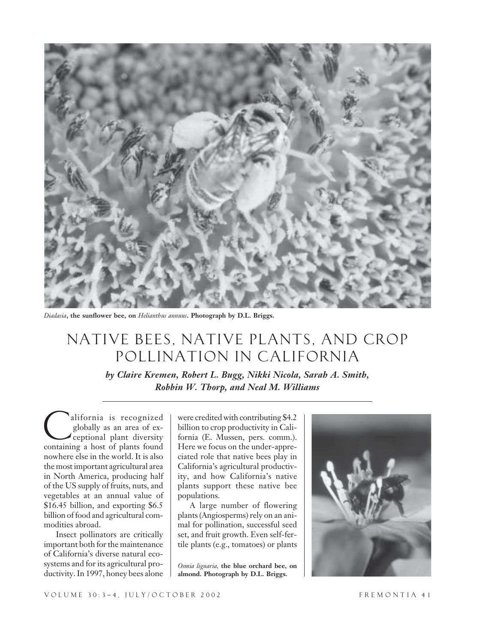

*Diadasia***, the sunflower bee, on** *Helianthus annuus***. Photograph by D.L. Briggs.**

# NATIVE BEES, NATIVE PLANTS, AND CROP POLLINATION IN CALIFORNIA

*by Claire Kremen, Robert L. Bugg, Nikki Nicola, Sarah A. Smith, Robbin W. Thorp, and Neal M. Williams*

alifornia is recognized globally as an area of exceptional plant diversity alifornia is recognized<br>globally as an area of ex-<br>ceptional plant diversity<br>containing a host of plants found nowhere else in the world. It is also the most important agricultural area in North America, producing half of the US supply of fruits, nuts, and vegetables at an annual value of \$16.45 billion, and exporting \$6.5 billion of food and agricultural commodities abroad.

Insect pollinators are critically important both for the maintenance of California's diverse natural ecosystems and for its agricultural productivity. In 1997, honey bees alone were credited with contributing \$4.2 billion to crop productivity in California (E. Mussen, pers. comm.). Here we focus on the under-appreciated role that native bees play in California's agricultural productivity, and how California's native plants support these native bee populations.

A large number of flowering plants (Angiosperms) rely on an animal for pollination, successful seed set, and fruit growth. Even self-fertile plants (e.g., tomatoes) or plants

*Osmia lignaria,* **the blue orchard bee, on almond. Photograph by D.L. Briggs.**

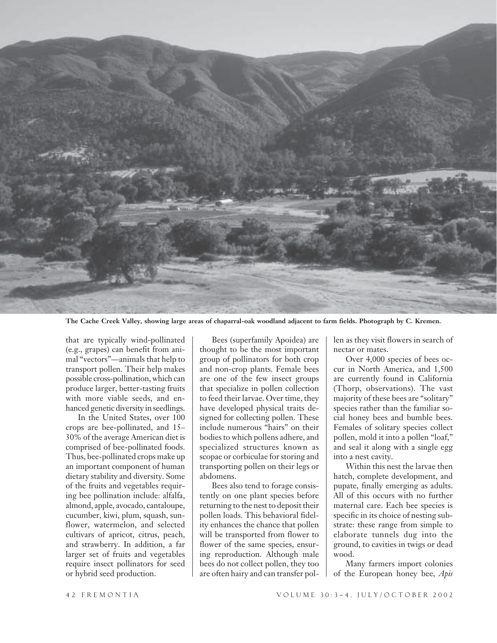

**The Cache Creek Valley, showing large areas of chaparral-oak woodland adjacent to farm fields. Photograph by C. Kremen.**

that are typically wind-pollinated (e.g., grapes) can benefit from animal "vectors"—animals that help to transport pollen. Their help makes possible cross-pollination, which can produce larger, better-tasting fruits with more viable seeds, and enhanced genetic diversity in seedlings.

In the United States, over 100 crops are bee-pollinated, and 15– 30% of the average American diet is comprised of bee-pollinated foods. Thus, bee-pollinated crops make up an important component of human dietary stability and diversity. Some of the fruits and vegetables requiring bee pollination include: alfalfa, almond, apple, avocado, cantaloupe, cucumber, kiwi, plum, squash, sunflower, watermelon, and selected cultivars of apricot, citrus, peach, and strawberry. In addition, a far larger set of fruits and vegetables require insect pollinators for seed or hybrid seed production.

Bees (superfamily Apoidea) are thought to be the most important group of pollinators for both crop and non-crop plants. Female bees are one of the few insect groups that specialize in pollen collection to feed their larvae. Over time, they have developed physical traits designed for collecting pollen. These include numerous "hairs" on their bodies to which pollens adhere, and specialized structures known as scopae or corbiculae for storing and transporting pollen on their legs or abdomens.

Bees also tend to forage consistently on one plant species before returning to the nest to deposit their pollen loads. This behavioral fidelity enhances the chance that pollen will be transported from flower to flower of the same species, ensuring reproduction. Although male bees do not collect pollen, they too are often hairy and can transfer pollen as they visit flowers in search of nectar or mates.

Over 4,000 species of bees occur in North America, and 1,500 are currently found in California (Thorp, observations). The vast majority of these bees are "solitary" species rather than the familiar social honey bees and bumble bees. Females of solitary species collect pollen, mold it into a pollen "loaf," and seal it along with a single egg into a nest cavity.

Within this nest the larvae then hatch, complete development, and pupate, finally emerging as adults. All of this occurs with no further maternal care. Each bee species is specific in its choice of nesting substrate: these range from simple to elaborate tunnels dug into the ground, to cavities in twigs or dead wood.

Many farmers import colonies of the European honey bee, *Apis*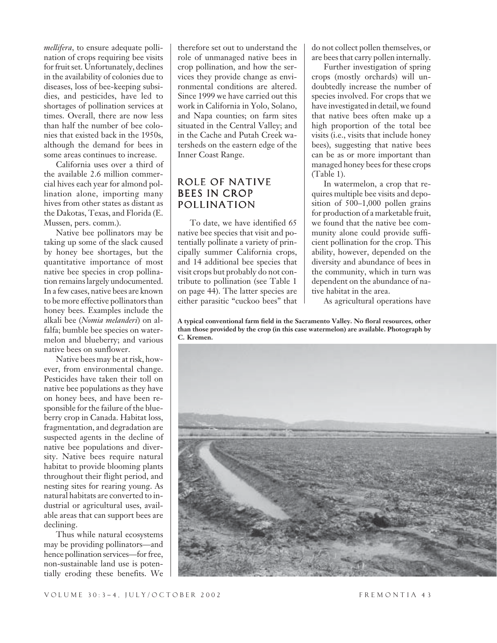*mellifera*, to ensure adequate pollination of crops requiring bee visits for fruit set. Unfortunately, declines in the availability of colonies due to diseases, loss of bee-keeping subsidies, and pesticides, have led to shortages of pollination services at times. Overall, there are now less than half the number of bee colonies that existed back in the 1950s, although the demand for bees in some areas continues to increase.

California uses over a third of the available 2.6 million commercial hives each year for almond pollination alone, importing many hives from other states as distant as the Dakotas, Texas, and Florida (E. Mussen, pers. comm.).

Native bee pollinators may be taking up some of the slack caused by honey bee shortages, but the quantitative importance of most native bee species in crop pollination remains largely undocumented. In a few cases, native bees are known to be more effective pollinators than honey bees. Examples include the alkali bee (*Nomia melanderi*) on alfalfa; bumble bee species on watermelon and blueberry; and various native bees on sunflower.

Native bees may be at risk, however, from environmental change. Pesticides have taken their toll on native bee populations as they have on honey bees, and have been responsible for the failure of the blueberry crop in Canada. Habitat loss, fragmentation, and degradation are suspected agents in the decline of native bee populations and diversity. Native bees require natural habitat to provide blooming plants throughout their flight period, and nesting sites for rearing young. As natural habitats are converted to industrial or agricultural uses, available areas that can support bees are declining.

Thus while natural ecosystems may be providing pollinators—and hence pollination services—for free, non-sustainable land use is potentially eroding these benefits. We

therefore set out to understand the role of unmanaged native bees in crop pollination, and how the services they provide change as environmental conditions are altered. Since 1999 we have carried out this work in California in Yolo, Solano, and Napa counties; on farm sites situated in the Central Valley; and in the Cache and Putah Creek watersheds on the eastern edge of the Inner Coast Range.

#### ROLE OF NATIVE BEES IN CROP POLLINATION

To date, we have identified 65 native bee species that visit and potentially pollinate a variety of principally summer California crops, and 14 additional bee species that visit crops but probably do not contribute to pollination (see Table 1 on page 44). The latter species are either parasitic "cuckoo bees" that do not collect pollen themselves, or are bees that carry pollen internally.

Further investigation of spring crops (mostly orchards) will undoubtedly increase the number of species involved. For crops that we have investigated in detail, we found that native bees often make up a high proportion of the total bee visits (i.e., visits that include honey bees), suggesting that native bees can be as or more important than managed honey bees for these crops (Table 1).

In watermelon, a crop that requires multiple bee visits and deposition of 500–1,000 pollen grains for production of a marketable fruit, we found that the native bee community alone could provide sufficient pollination for the crop. This ability, however, depended on the diversity and abundance of bees in the community, which in turn was dependent on the abundance of native habitat in the area.

As agricultural operations have

**A typical conventional farm field in the Sacramento Valley. No floral resources, other than those provided by the crop (in this case watermelon) are available. Photograph by C. Kremen.**

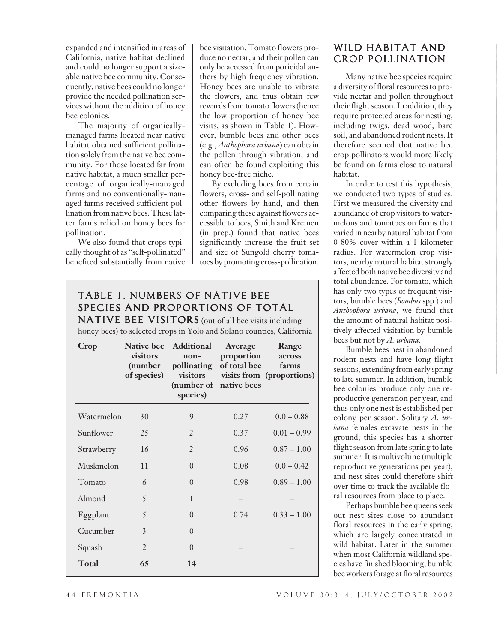expanded and intensified in areas of California, native habitat declined and could no longer support a sizeable native bee community. Consequently, native bees could no longer provide the needed pollination services without the addition of honey bee colonies.

The majority of organicallymanaged farms located near native habitat obtained sufficient pollination solely from the native bee community. For those located far from native habitat, a much smaller percentage of organically-managed farms and no conventionally-managed farms received sufficient pollination from native bees. These latter farms relied on honey bees for pollination.

We also found that crops typically thought of as "self-pollinated" benefited substantially from native

bee visitation. Tomato flowers produce no nectar, and their pollen can only be accessed from poricidal anthers by high frequency vibration. Honey bees are unable to vibrate the flowers, and thus obtain few rewards from tomato flowers (hence the low proportion of honey bee visits, as shown in Table 1). However, bumble bees and other bees (e.g., *Anthophora urbana*) can obtain the pollen through vibration, and can often be found exploiting this honey bee-free niche.

By excluding bees from certain flowers, cross- and self-pollinating other flowers by hand, and then comparing these against flowers accessible to bees, Smith and Kremen (in prep.) found that native bees significantly increase the fruit set and size of Sungold cherry tomatoes by promoting cross-pollination.

### TABLE 1. NUMBERS OF NATIVE BEE SPECIES AND PROPORTIONS OF TOTAL

NATIVE BEE VISITORS (out of all bee visits including honey bees) to selected crops in Yolo and Solano counties, California

| Crop       | <b>Native bee</b><br>visitors<br>(number<br>of species) | Additional<br>non-<br>pollinating<br>visitors<br>(number of native bees<br>species) | Average<br>proportion<br>of total bee | Range<br>across<br>farms<br>visits from (proportions) |
|------------|---------------------------------------------------------|-------------------------------------------------------------------------------------|---------------------------------------|-------------------------------------------------------|
| Watermelon | 30                                                      | 9                                                                                   | 0.27                                  | $0.0 - 0.88$                                          |
| Sunflower  | 25                                                      | $\overline{2}$                                                                      | 0.37                                  | $0.01 - 0.99$                                         |
| Strawberry | 16                                                      | $\overline{2}$                                                                      | 0.96                                  | $0.87 - 1.00$                                         |
| Muskmelon  | 11                                                      | $\Omega$                                                                            | 0.08                                  | $0.0 - 0.42$                                          |
| Tomato     | 6                                                       | $\Omega$                                                                            | 0.98                                  | $0.89 - 1.00$                                         |
| Almond     | 5                                                       | 1                                                                                   |                                       |                                                       |
| Eggplant   | 5                                                       | $\Omega$                                                                            | 0.74                                  | $0.33 - 1.00$                                         |
| Cucumber   | 3                                                       | $\Omega$                                                                            |                                       |                                                       |
| Squash     | $\overline{2}$                                          | $\Omega$                                                                            |                                       |                                                       |
| Total      | 65                                                      | 14                                                                                  |                                       |                                                       |

#### WILD HABITAT AND CROP POLLINATION

Many native bee species require a diversity of floral resources to provide nectar and pollen throughout their flight season. In addition, they require protected areas for nesting, including twigs, dead wood, bare soil, and abandoned rodent nests. It therefore seemed that native bee crop pollinators would more likely be found on farms close to natural habitat.

In order to test this hypothesis, we conducted two types of studies. First we measured the diversity and abundance of crop visitors to watermelons and tomatoes on farms that varied in nearby natural habitat from 0-80% cover within a 1 kilometer radius. For watermelon crop visitors, nearby natural habitat strongly affected both native bee diversity and total abundance. For tomato, which has only two types of frequent visitors, bumble bees (*Bombus* spp.) and *Anthophora urbana*, we found that the amount of natural habitat positively affected visitation by bumble bees but not by *A. urbana*.

Bumble bees nest in abandoned rodent nests and have long flight seasons, extending from early spring to late summer. In addition, bumble bee colonies produce only one reproductive generation per year, and thus only one nest is established per colony per season. Solitary *A. urbana* females excavate nests in the ground; this species has a shorter flight season from late spring to late summer. It is multivoltine (multiple reproductive generations per year), and nest sites could therefore shift over time to track the available floral resources from place to place.

Perhaps bumble bee queens seek out nest sites close to abundant floral resources in the early spring, which are largely concentrated in wild habitat. Later in the summer when most California wildland species have finished blooming, bumble bee workers forage at floral resources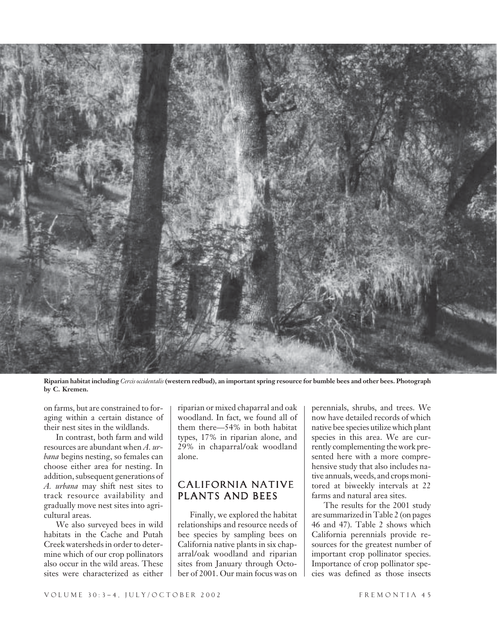

**Riparian habitat including** *Cercis occidentalis* **(western redbud), an important spring resource for bumble bees and other bees. Photograph by C. Kremen.**

on farms, but are constrained to foraging within a certain distance of their nest sites in the wildlands.

In contrast, both farm and wild resources are abundant when *A. urbana* begins nesting, so females can choose either area for nesting. In addition, subsequent generations of *A. urbana* may shift nest sites to track resource availability and gradually move nest sites into agricultural areas.

We also surveyed bees in wild habitats in the Cache and Putah Creek watersheds in order to determine which of our crop pollinators also occur in the wild areas. These sites were characterized as either riparian or mixed chaparral and oak woodland. In fact, we found all of them there—54% in both habitat types, 17% in riparian alone, and 29% in chaparral/oak woodland alone.

#### CALIFORNIA NATIVE PLANTS AND BEES

Finally, we explored the habitat relationships and resource needs of bee species by sampling bees on California native plants in six chaparral/oak woodland and riparian sites from January through October of 2001. Our main focus was on perennials, shrubs, and trees. We now have detailed records of which native bee species utilize which plant species in this area. We are currently complementing the work presented here with a more comprehensive study that also includes native annuals, weeds, and crops monitored at biweekly intervals at 22 farms and natural area sites.

The results for the 2001 study are summarized in Table 2 (on pages 46 and 47). Table 2 shows which California perennials provide resources for the greatest number of important crop pollinator species. Importance of crop pollinator species was defined as those insects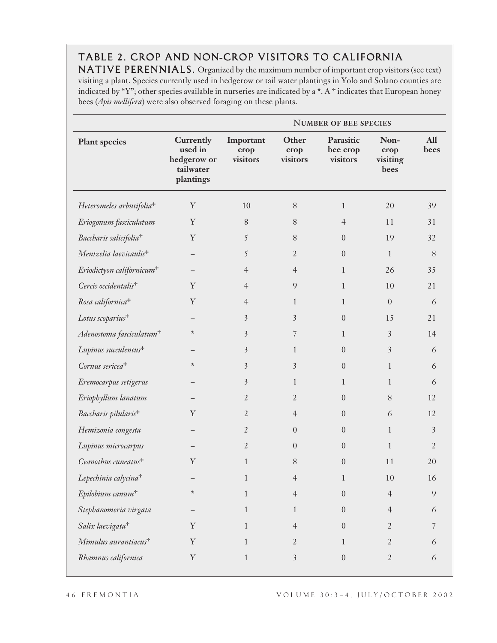## TABLE 2. CROP AND NON**-**CROP VISITORS TO CALIFORNIA

NATIVE PERENNIALS. Organized by the maximum number of important crop visitors (see text) visiting a plant. Species currently used in hedgerow or tail water plantings in Yolo and Solano counties are indicated by "Y"; other species available in nurseries are indicated by a **\***. A ✛ indicates that European honey bees (*Apis mellifera*) were also observed foraging on these plants.

|                                       | <b>NUMBER OF BEE SPECIES</b>                                  |                               |                           |                                   |                                  |                    |  |
|---------------------------------------|---------------------------------------------------------------|-------------------------------|---------------------------|-----------------------------------|----------------------------------|--------------------|--|
| <b>Plant species</b>                  | Currently<br>used in<br>hedgerow or<br>tailwater<br>plantings | Important<br>crop<br>visitors | Other<br>crop<br>visitors | Parasitic<br>bee crop<br>visitors | Non-<br>crop<br>visiting<br>bees | <b>All</b><br>bees |  |
| Heteromeles arbutifolia <sup>+</sup>  | $\mathbf Y$                                                   | 10                            | $8\,$                     | $\mathbf{1}$                      | 20                               | 39                 |  |
| Eriogonum fasciculatum                | $\mathbf Y$                                                   | $8\,$                         | 8                         | $\overline{4}$                    | 11                               | 31                 |  |
| Baccharis salicifolia <sup>+</sup>    | $\mathbf Y$                                                   | 5                             | 8                         | $\theta$                          | 19                               | 32                 |  |
| Mentzelia laevicaulis <sup>+</sup>    | —                                                             | 5                             | $\overline{2}$            | $\mathbf{0}$                      | $\mathbf{1}$                     | $8\,$              |  |
| Eriodictyon californicum <sup>+</sup> |                                                               | $\overline{4}$                | $\overline{4}$            | $\mathbf{1}$                      | 26                               | 35                 |  |
| Cercis occidentalis <sup>+</sup>      | Y                                                             | $\overline{4}$                | 9                         | $\mathbf{1}$                      | 10                               | 21                 |  |
| Rosa californica <sup>+</sup>         | Y                                                             | $\overline{4}$                | $\mathbf{1}$              | $\mathbf{1}$                      | $\theta$                         | 6                  |  |
| Lotus scoparius <sup>+</sup>          |                                                               | 3                             | 3                         | $\mathbf{0}$                      | 15                               | 21                 |  |
| Adenostoma fasciculatum <sup>+</sup>  | $\ast$                                                        | 3                             | 7                         | $\mathbf{1}$                      | $\overline{\mathbf{3}}$          | 14                 |  |
| Lupinus succulentus <sup>+</sup>      |                                                               | 3                             | $\mathbf{1}$              | $\boldsymbol{0}$                  | 3                                | 6                  |  |
| Cornus sericea <sup>+</sup>           | $\ast$                                                        | 3                             | 3                         | $\theta$                          | $\mathbf{1}$                     | 6                  |  |
| Eremocarpus setigerus                 |                                                               | 3                             | $\mathbf{1}$              | $\mathbf{1}$                      | $\mathbf{1}$                     | 6                  |  |
| Eriophyllum lanatum                   |                                                               | $\overline{2}$                | $\overline{2}$            | $\boldsymbol{0}$                  | 8                                | 12                 |  |
| Baccharis pilularis <sup>+</sup>      | Y                                                             | $\overline{2}$                | $\overline{4}$            | $\theta$                          | 6                                | 12                 |  |
| Hemizonia congesta                    |                                                               | $\overline{2}$                | $\boldsymbol{0}$          | $\boldsymbol{0}$                  | $\mathbf{1}$                     | $\overline{3}$     |  |
| Lupinus microcarpus                   |                                                               | $\overline{2}$                | $\theta$                  | $\boldsymbol{0}$                  | $\mathbf{1}$                     | $\overline{2}$     |  |
| Ceanothus cuneatus <sup>+</sup>       | $\mathbf Y$                                                   | $\mathbf{1}$                  | 8                         | $\boldsymbol{0}$                  | 11                               | 20                 |  |
| Lepechinia calycina <sup>+</sup>      |                                                               |                               | $\overline{4}$            | $\mathbf{1}$                      | 10                               | 16                 |  |
| Epilobium canum <sup>+</sup>          | $\star$                                                       | $1\,$                         | $\overline{4}$            | $\boldsymbol{0}$                  | $\overline{4}$                   | 9                  |  |
| Stephanomeria virgata                 |                                                               | $\mathbf{1}$                  | $\mathbf{1}$              | $\boldsymbol{0}$                  | $\overline{4}$                   | 6                  |  |
| Salix laevigata <sup>+</sup>          | Y                                                             | $\mathbf{1}$                  | $\overline{4}$            | $\boldsymbol{0}$                  | $\overline{2}$                   | 7                  |  |
| Mimulus aurantiacus <sup>+</sup>      | $\mathbf Y$                                                   | $\mathbf{1}$                  | $\overline{2}$            | $\mathbf{1}$                      | $\overline{2}$                   | 6                  |  |
| Rhamnus californica                   | $\mathbf Y$                                                   | $\mathbf{1}$                  | $\overline{\mathbf{3}}$   | $\boldsymbol{0}$                  | $\overline{2}$                   | 6                  |  |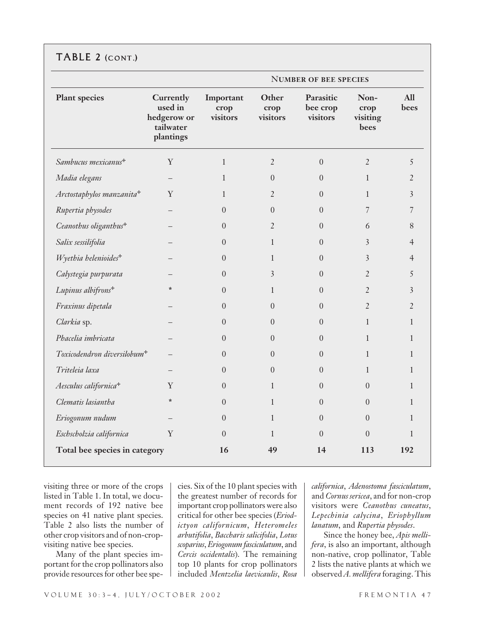|                                         |                                                               | <b>NUMBER OF BEE SPECIES</b>  |                           |                                   |                                  |                    |  |
|-----------------------------------------|---------------------------------------------------------------|-------------------------------|---------------------------|-----------------------------------|----------------------------------|--------------------|--|
| <b>Plant species</b>                    | Currently<br>used in<br>hedgerow or<br>tailwater<br>plantings | Important<br>crop<br>visitors | Other<br>crop<br>visitors | Parasitic<br>bee crop<br>visitors | Non-<br>crop<br>visiting<br>bees | <b>All</b><br>bees |  |
| Sambucus mexicanus <sup>+</sup>         | Y                                                             | $\mathbf{1}$                  | $\overline{2}$            | $\Omega$                          | $\overline{2}$                   | 5                  |  |
| Madia elegans                           | $\overline{\phantom{0}}$                                      | 1                             | $\theta$                  | $\Omega$                          | $\mathbf{1}$                     | $\overline{2}$     |  |
| Arctostaphylos manzanita <sup>+</sup>   | Y                                                             | $\mathbf{1}$                  | $\overline{2}$            | $\Omega$                          | $\mathbf{1}$                     | 3                  |  |
| Rupertia physodes                       |                                                               | $\boldsymbol{0}$              | $\overline{0}$            | $\overline{0}$                    | 7                                | $\overline{7}$     |  |
| Ceanothus oliganthus <sup>+</sup>       |                                                               | $\overline{0}$                | $\overline{2}$            | $\Omega$                          | 6                                | 8                  |  |
| Salix sessilifolia                      |                                                               | $\Omega$                      | $\mathbf{1}$              | $\Omega$                          | 3                                | $\overline{4}$     |  |
| Wyethia helenioides <sup>+</sup>        |                                                               | $\theta$                      | $\mathbf{1}$              | $\Omega$                          | 3                                | $\overline{4}$     |  |
| Calystegia purpurata                    |                                                               | $\theta$                      | 3                         | $\Omega$                          | $\overline{2}$                   | 5                  |  |
| Lupinus albifrons <sup>+</sup>          | $\star$                                                       | $\overline{0}$                | $\mathbf{1}$              | $\boldsymbol{0}$                  | $\overline{2}$                   | $\overline{3}$     |  |
| Fraxinus dipetala                       |                                                               | $\Omega$                      | $\boldsymbol{0}$          | $\Omega$                          | $\overline{2}$                   | $\overline{2}$     |  |
| Clarkia sp.                             |                                                               | $\Omega$                      | $\overline{0}$            | $\Omega$                          | $\mathbf{1}$                     | $\mathbf{1}$       |  |
| Phacelia imbricata                      |                                                               | $\theta$                      | $\overline{0}$            | $\Omega$                          | $\mathbf{1}$                     | $\mathbf{1}$       |  |
| Toxicodendron diversilobum <sup>+</sup> |                                                               | $\theta$                      | $\theta$                  | $\Omega$                          | $\mathbf{1}$                     | $\mathbf{1}$       |  |
| Triteleia laxa                          |                                                               | $\boldsymbol{0}$              | $\overline{0}$            | $\Omega$                          | $\mathbf{1}$                     | $\mathbf{1}$       |  |
| Aesculus californica <sup>+</sup>       | Y                                                             | $\Omega$                      | $\mathbf{1}$              | $\Omega$                          | $\Omega$                         | $\mathbf{1}$       |  |
| Clematis lasiantha                      | $\ast$                                                        | $\overline{0}$                | $\mathbf{1}$              | $\Omega$                          | $\Omega$                         | $\mathbf{1}$       |  |
| Eriogonum nudum                         |                                                               | $\Omega$                      | $\mathbf{1}$              | $\Omega$                          | $\Omega$                         | $\mathbf{1}$       |  |
| Eschscholzia californica                | $\mathbf Y$                                                   | $\theta$                      | $\mathbf{1}$              | $\Omega$                          | $\Omega$                         | $\mathbf{1}$       |  |
| Total bee species in category           |                                                               | 16                            | 49                        | 14                                | 113                              | 192                |  |

visiting three or more of the crops listed in Table 1. In total, we document records of 192 native bee species on 41 native plant species. Table 2 also lists the number of other crop visitors and of non-cropvisiting native bee species.

Many of the plant species important for the crop pollinators also provide resources for other bee species. Six of the 10 plant species with the greatest number of records for important crop pollinators were also critical for other bee species (*Eriodictyon californicum*, *Heteromeles arbutifolia*, *Baccharis salicifolia*, *Lotus scoparius*, *Eriogonum fasciculatum*, and *Cercis occidentalis*). The remaining top 10 plants for crop pollinators included *Mentzelia laevicaulis*, *Rosa* *californica*, *Adenostoma fasciculatum*, and *Cornus sericea*, and for non-crop visitors were *Ceanothus cuneatus*, *Lepechinia calycina*, *Eriophyllum lanatum*, and *Rupertia physodes*.

Since the honey bee, *Apis mellifera*, is also an important, although non-native, crop pollinator, Table 2 lists the native plants at which we observed *A. mellifera* foraging. This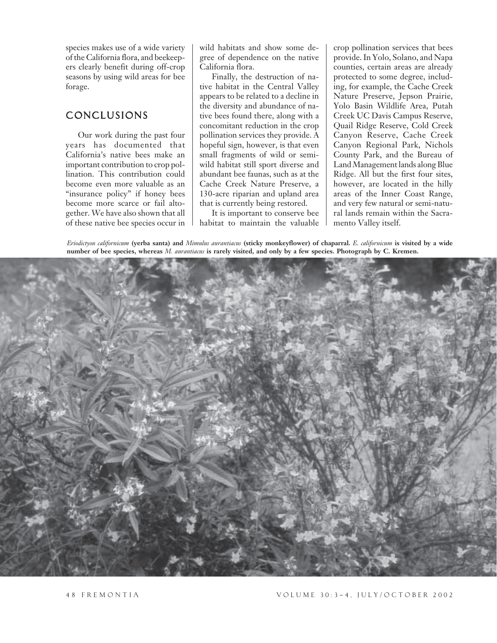species makes use of a wide variety of the California flora, and beekeepers clearly benefit during off-crop seasons by using wild areas for bee forage.

#### CONCLUSIONS

Our work during the past four years has documented that California's native bees make an important contribution to crop pollination. This contribution could become even more valuable as an "insurance policy" if honey bees become more scarce or fail altogether. We have also shown that all of these native bee species occur in wild habitats and show some degree of dependence on the native California flora.

Finally, the destruction of native habitat in the Central Valley appears to be related to a decline in the diversity and abundance of native bees found there, along with a concomitant reduction in the crop pollination services they provide. A hopeful sign, however, is that even small fragments of wild or semiwild habitat still sport diverse and abundant bee faunas, such as at the Cache Creek Nature Preserve, a 130-acre riparian and upland area that is currently being restored.

It is important to conserve bee habitat to maintain the valuable crop pollination services that bees provide. In Yolo, Solano, and Napa counties, certain areas are already protected to some degree, including, for example, the Cache Creek Nature Preserve, Jepson Prairie, Yolo Basin Wildlife Area, Putah Creek UC Davis Campus Reserve, Quail Ridge Reserve, Cold Creek Canyon Reserve, Cache Creek Canyon Regional Park, Nichols County Park, and the Bureau of Land Management lands along Blue Ridge. All but the first four sites, however, are located in the hilly areas of the Inner Coast Range, and very few natural or semi-natural lands remain within the Sacramento Valley itself.

*Eriodictyon californicum* **(yerba santa) and** *Mimulus aurantiacus* **(sticky monkeyflower) of chaparral.** *E. californicum* **is visited by a wide number of bee species, whereas** *M. aurantiacus* **is rarely visited, and only by a few species. Photograph by C. Kremen.**